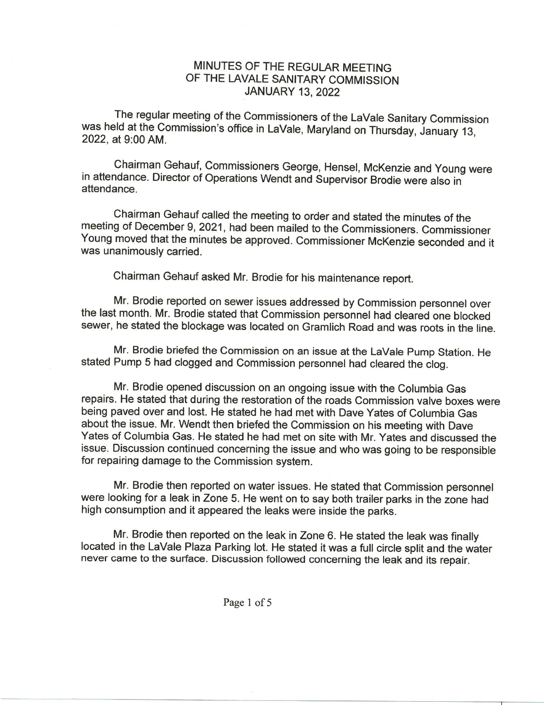## MINUTES OF THE REGULAR MEETING OF THE LAVALE SANITARY COMMISSION JANUARY 13, 2022

The regular meeting of the Commissioners of the LaVale Sanitary Commission was held at the Commission's office in LaVale, Maryland on Thursday, January 13, 2022, at 9:00AM.

Chairman Gehauf, Commissioners George, Hensel, McKenzie and Young were in attendance. Director of Operations Wendt and Supervisor Brodie were also in attendance.

Chairman Gehauf called the meeting to order and stated the minutes of the meeting of December 9, 2021, had been mailed to the Commissioners. Commissioner Young moved that the minutes be approved. Commissioner McKenzie seconded and it was unanimously carried.

Chairman Gehauf asked Mr. Brodie for his maintenance report.

Mr. Brodie reported on sewer issues addressed by Commission personnel over the last month. Mr. Brodie stated that Commission personnel had cleared one blocked sewer, he stated the blockage was located on Gramlich Road and was roots in the line.

Mr. Brodie briefed the Commission on an issue at the LaVale Pump Station. He stated Pump 5 had clogged and Commission personnel had cleared the clog.

Mr. Brodie opened discussion on an ongoing issue with the Columbia Gas repairs. He stated that during the restoration of the roads Commission valve boxes were being paved over and lost. He stated he had met with Dave Yates of Columbia Gas about the issue. Mr. Wendt then briefed the Commission on his meeting with Dave Yates of Columbia Gas. He stated he had met on site with Mr. Yates and discussed the issue. Discussion continued concerning the issue and who was going to be responsible for repairing damage to the Commission system.

Mr. Brodie then reported on water issues. He stated that Commission personnel were looking for a leak in Zone 5. He went on to say both trailer parks in the zone had high consumption and it appeared the leaks were inside the parks.

Mr. Brodie then reported on the leak in Zone 6. He stated the leak was finally located in the LaVale Plaza Parking lot. He stated it was a full circle split and the water never came to the surface. Discussion followed concerning the leak and its repair.

Page <sup>1</sup> of 5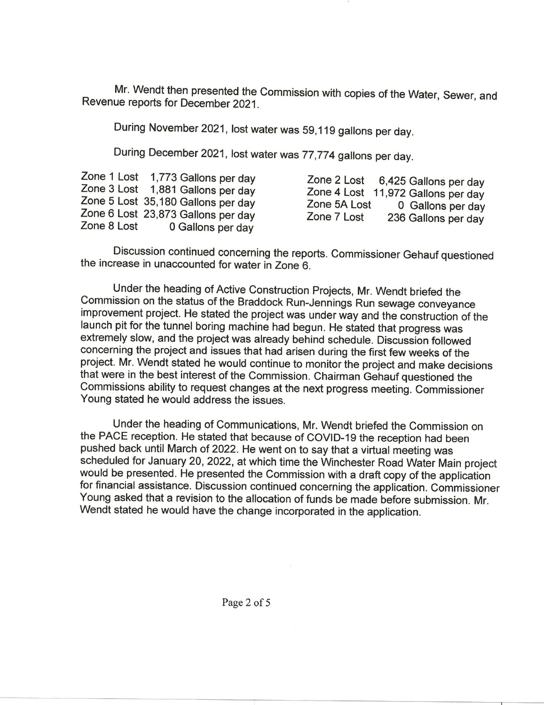Mr. Wendt then presented the Commission with copies of the Water, Sewer, and Revenue reports for December 2021.

During November 2021, lost water was 59,119gallons per day.

During December 2021, lost water was 77,774 gallons per day.

Discussion continued concerning the reports. Commissioner Gehauf questioned the increase in unaccounted for water in Zone 6.

Under the heading of Active Construction Projects, Mr. Wendt briefed the Commission on the status of the Braddock Run-Jennings Run sewage conveyance improvement project. He stated the project was under way and the construction of the launch pit for the tunnel boring machine had begun. He stated that progress was extremely slow, and the project was already behind schedule. Discussion followed concerning the project and issues that had arisen during the first few weeks of the project. Mr. Wendt stated he would continue to monitor the project and make decisions that were in the best interest of the Commission. Chairman Gehauf questioned the Commissions ability to request changes at the next progress meeting. Commissioner Young stated he would address the issues.

Under the heading of Communications, Mr. Wendt briefed the Commission on the PACE reception. He stated that because of COVID-19 the reception had been pushed back until March of 2022. He went on to say that a virtual meeting was scheduled for January 20, 2022, at which time the Winchester Road Water Main project would be presented. He presented the Commission with a draft copy of the application for financial assistance. Discussion continued concerning the application. Commissioner Young asked that a revision to the allocation of funds be made before submission. Mr. Wendt stated he would have the change incorporated in the application.